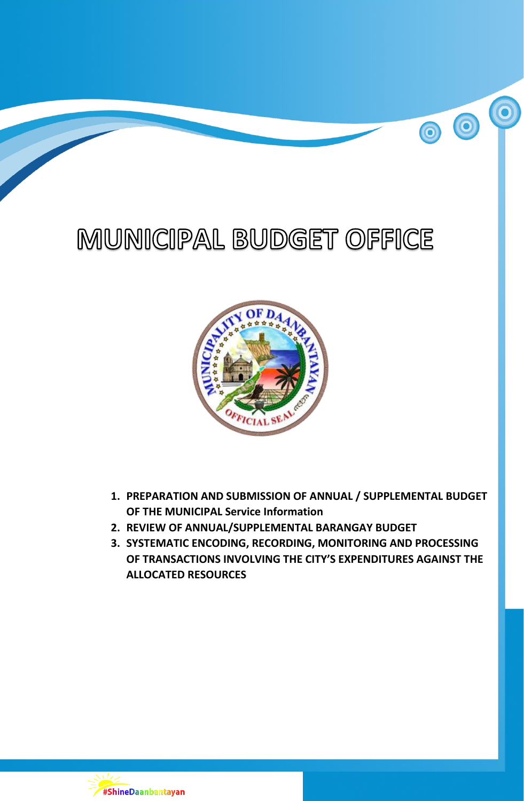# MUNICIPAL BUDGET OFFICE

 $\overline{\mathbf{o}}$ 

00



- **1. PREPARATION AND SUBMISSION OF ANNUAL / SUPPLEMENTAL BUDGET OF THE MUNICIPAL Service Information**
- **2. REVIEW OF ANNUAL/SUPPLEMENTAL BARANGAY BUDGET**
- **3. SYSTEMATIC ENCODING, RECORDING, MONITORING AND PROCESSING OF TRANSACTIONS INVOLVING THE CITY'S EXPENDITURES AGAINST THE ALLOCATED RESOURCES**

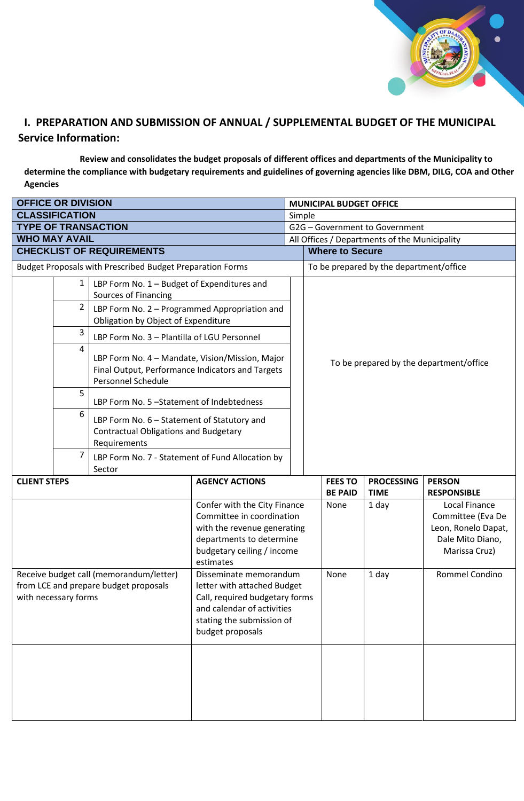

## **I. PREPARATION AND SUBMISSION OF ANNUAL / SUPPLEMENTAL BUDGET OF THE MUNICIPAL Service Information:**

**Review and consolidates the budget proposals of different offices and departments of the Municipality to determine the compliance with budgetary requirements and guidelines of governing agencies like DBM, DILG, COA and Other Agencies**

| <b>OFFICE OR DIVISION</b>                                                                                |              |                                                                                                                           |                                                                                                                                                                        | <b>MUNICIPAL BUDGET OFFICE</b> |                                                                                                                 |                                         |                                     |  |  |
|----------------------------------------------------------------------------------------------------------|--------------|---------------------------------------------------------------------------------------------------------------------------|------------------------------------------------------------------------------------------------------------------------------------------------------------------------|--------------------------------|-----------------------------------------------------------------------------------------------------------------|-----------------------------------------|-------------------------------------|--|--|
| <b>CLASSIFICATION</b>                                                                                    |              |                                                                                                                           |                                                                                                                                                                        | Simple                         |                                                                                                                 |                                         |                                     |  |  |
| <b>TYPE OF TRANSACTION</b>                                                                               |              |                                                                                                                           |                                                                                                                                                                        | G2G - Government to Government |                                                                                                                 |                                         |                                     |  |  |
| <b>WHO MAY AVAIL</b>                                                                                     |              |                                                                                                                           |                                                                                                                                                                        |                                | All Offices / Departments of the Municipality                                                                   |                                         |                                     |  |  |
| <b>CHECKLIST OF REQUIREMENTS</b>                                                                         |              |                                                                                                                           |                                                                                                                                                                        |                                | <b>Where to Secure</b>                                                                                          |                                         |                                     |  |  |
| Budget Proposals with Prescribed Budget Preparation Forms                                                |              |                                                                                                                           |                                                                                                                                                                        |                                | To be prepared by the department/office                                                                         |                                         |                                     |  |  |
|                                                                                                          | $\mathbf{1}$ | LBP Form No. 1 - Budget of Expenditures and<br><b>Sources of Financing</b>                                                |                                                                                                                                                                        |                                |                                                                                                                 |                                         |                                     |  |  |
|                                                                                                          | 2            | LBP Form No. 2 - Programmed Appropriation and<br>Obligation by Object of Expenditure                                      |                                                                                                                                                                        |                                |                                                                                                                 |                                         |                                     |  |  |
|                                                                                                          | 3            | LBP Form No. 3 - Plantilla of LGU Personnel                                                                               |                                                                                                                                                                        |                                |                                                                                                                 |                                         |                                     |  |  |
|                                                                                                          | 4            | LBP Form No. 4 - Mandate, Vision/Mission, Major<br>Final Output, Performance Indicators and Targets<br>Personnel Schedule |                                                                                                                                                                        |                                |                                                                                                                 | To be prepared by the department/office |                                     |  |  |
|                                                                                                          | 5            | LBP Form No. 5 -Statement of Indebtedness                                                                                 |                                                                                                                                                                        |                                |                                                                                                                 |                                         |                                     |  |  |
|                                                                                                          | 6            | LBP Form No. 6 - Statement of Statutory and<br><b>Contractual Obligations and Budgetary</b><br>Requirements               |                                                                                                                                                                        |                                |                                                                                                                 |                                         |                                     |  |  |
|                                                                                                          | 7            | LBP Form No. 7 - Statement of Fund Allocation by<br>Sector                                                                |                                                                                                                                                                        |                                |                                                                                                                 |                                         |                                     |  |  |
| <b>CLIENT STEPS</b>                                                                                      |              |                                                                                                                           | <b>AGENCY ACTIONS</b>                                                                                                                                                  |                                | <b>FEES TO</b><br><b>BE PAID</b>                                                                                | <b>PROCESSING</b><br><b>TIME</b>        | <b>PERSON</b><br><b>RESPONSIBLE</b> |  |  |
|                                                                                                          |              |                                                                                                                           | Confer with the City Finance<br>Committee in coordination<br>with the revenue generating<br>departments to determine<br>budgetary ceiling / income<br>estimates        |                                | Local Finance<br>None<br>1 day<br>Committee (Eva De<br>Leon, Ronelo Dapat,<br>Dale Mito Diano,<br>Marissa Cruz) |                                         |                                     |  |  |
| Receive budget call (memorandum/letter)<br>from LCE and prepare budget proposals<br>with necessary forms |              |                                                                                                                           | Disseminate memorandum<br>letter with attached Budget<br>Call, required budgetary forms<br>and calendar of activities<br>stating the submission of<br>budget proposals |                                | None                                                                                                            | 1 day                                   | Rommel Condino                      |  |  |
|                                                                                                          |              |                                                                                                                           |                                                                                                                                                                        |                                |                                                                                                                 |                                         |                                     |  |  |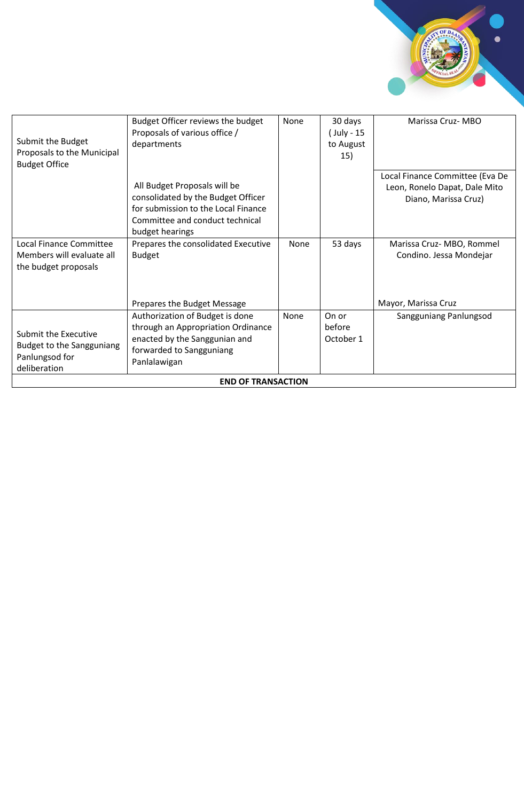

| Submit the Budget<br>Proposals to the Municipal<br><b>Budget Office</b>             | Budget Officer reviews the budget<br>Proposals of various office /<br>departments                                                                               | None        | 30 days<br>( July - 15<br>to August<br>15) | Marissa Cruz-MBO                                                                         |  |  |
|-------------------------------------------------------------------------------------|-----------------------------------------------------------------------------------------------------------------------------------------------------------------|-------------|--------------------------------------------|------------------------------------------------------------------------------------------|--|--|
|                                                                                     | All Budget Proposals will be<br>consolidated by the Budget Officer<br>for submission to the Local Finance<br>Committee and conduct technical<br>budget hearings |             |                                            | Local Finance Committee (Eva De<br>Leon, Ronelo Dapat, Dale Mito<br>Diano, Marissa Cruz) |  |  |
| Local Finance Committee<br>Members will evaluate all<br>the budget proposals        | Prepares the consolidated Executive<br><b>Budget</b>                                                                                                            | None        | 53 days                                    | Marissa Cruz-MBO, Rommel<br>Condino. Jessa Mondejar                                      |  |  |
|                                                                                     | Prepares the Budget Message                                                                                                                                     |             |                                            | Mayor, Marissa Cruz                                                                      |  |  |
| Submit the Executive<br>Budget to the Sangguniang<br>Panlungsod for<br>deliberation | Authorization of Budget is done<br>through an Appropriation Ordinance<br>enacted by the Sanggunian and<br>forwarded to Sangguniang<br>Panlalawigan              | <b>None</b> | On or<br>before<br>October 1               | Sangguniang Panlungsod                                                                   |  |  |
| <b>END OF TRANSACTION</b>                                                           |                                                                                                                                                                 |             |                                            |                                                                                          |  |  |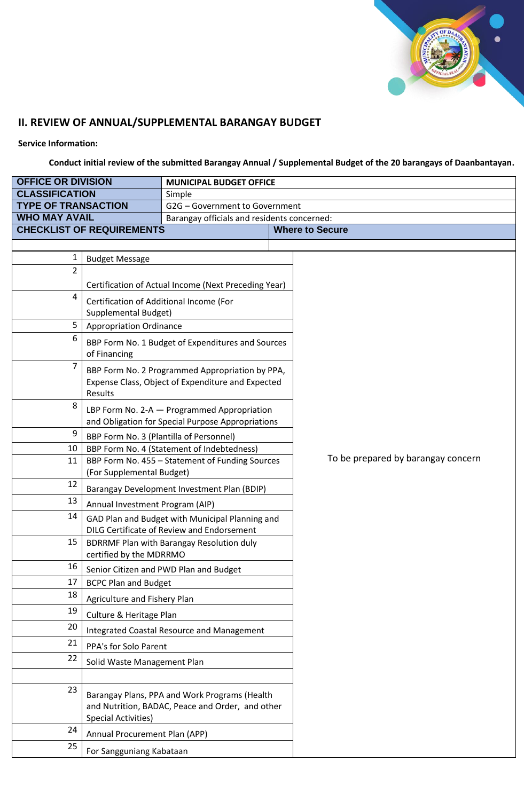

# **II. REVIEW OF ANNUAL/SUPPLEMENTAL BARANGAY BUDGET**

**Service Information:**

**Conduct initial review of the submitted Barangay Annual / Supplemental Budget of the 20 barangays of Daanbantayan.**

| <b>OFFICE OR DIVISION</b>  |                                                                                                                 | <b>MUNICIPAL BUDGET OFFICE</b>                                                                       |  |                                    |  |  |  |
|----------------------------|-----------------------------------------------------------------------------------------------------------------|------------------------------------------------------------------------------------------------------|--|------------------------------------|--|--|--|
| <b>CLASSIFICATION</b>      |                                                                                                                 | Simple                                                                                               |  |                                    |  |  |  |
| <b>TYPE OF TRANSACTION</b> |                                                                                                                 | G2G - Government to Government                                                                       |  |                                    |  |  |  |
| <b>WHO MAY AVAIL</b>       |                                                                                                                 | Barangay officials and residents concerned:                                                          |  |                                    |  |  |  |
|                            | <b>CHECKLIST OF REQUIREMENTS</b>                                                                                |                                                                                                      |  | <b>Where to Secure</b>             |  |  |  |
|                            |                                                                                                                 |                                                                                                      |  |                                    |  |  |  |
| 1                          | <b>Budget Message</b>                                                                                           |                                                                                                      |  |                                    |  |  |  |
| $\overline{2}$             |                                                                                                                 | Certification of Actual Income (Next Preceding Year)                                                 |  |                                    |  |  |  |
| 4                          | Certification of Additional Income (For<br><b>Supplemental Budget)</b>                                          |                                                                                                      |  |                                    |  |  |  |
| 5                          | <b>Appropriation Ordinance</b>                                                                                  |                                                                                                      |  |                                    |  |  |  |
| 6                          | BBP Form No. 1 Budget of Expenditures and Sources<br>of Financing                                               |                                                                                                      |  |                                    |  |  |  |
| 7                          | BBP Form No. 2 Programmed Appropriation by PPA,<br>Expense Class, Object of Expenditure and Expected<br>Results |                                                                                                      |  |                                    |  |  |  |
| 8                          |                                                                                                                 | LBP Form No. 2-A - Programmed Appropriation<br>and Obligation for Special Purpose Appropriations     |  |                                    |  |  |  |
| 9                          | BBP Form No. 3 (Plantilla of Personnel)                                                                         |                                                                                                      |  |                                    |  |  |  |
| 10                         |                                                                                                                 | BBP Form No. 4 (Statement of Indebtedness)                                                           |  |                                    |  |  |  |
| 11                         |                                                                                                                 | BBP Form No. 455 - Statement of Funding Sources                                                      |  | To be prepared by barangay concern |  |  |  |
|                            | (For Supplemental Budget)                                                                                       |                                                                                                      |  |                                    |  |  |  |
| 12                         |                                                                                                                 | Barangay Development Investment Plan (BDIP)                                                          |  |                                    |  |  |  |
| 13                         | Annual Investment Program (AIP)                                                                                 |                                                                                                      |  |                                    |  |  |  |
| 14                         |                                                                                                                 | GAD Plan and Budget with Municipal Planning and<br><b>DILG Certificate of Review and Endorsement</b> |  |                                    |  |  |  |
| 15                         | <b>BDRRMF Plan with Barangay Resolution duly</b><br>certified by the MDRRMO                                     |                                                                                                      |  |                                    |  |  |  |
| 16                         |                                                                                                                 | Senior Citizen and PWD Plan and Budget                                                               |  |                                    |  |  |  |
| 17                         | <b>BCPC Plan and Budget</b>                                                                                     |                                                                                                      |  |                                    |  |  |  |
| 18                         | Agriculture and Fishery Plan                                                                                    |                                                                                                      |  |                                    |  |  |  |
| 19                         | Culture & Heritage Plan                                                                                         |                                                                                                      |  |                                    |  |  |  |
| 20                         |                                                                                                                 | Integrated Coastal Resource and Management                                                           |  |                                    |  |  |  |
| 21                         | PPA's for Solo Parent                                                                                           |                                                                                                      |  |                                    |  |  |  |
| 22                         | Solid Waste Management Plan                                                                                     |                                                                                                      |  |                                    |  |  |  |
|                            |                                                                                                                 |                                                                                                      |  |                                    |  |  |  |
| 23                         | <b>Special Activities)</b>                                                                                      | Barangay Plans, PPA and Work Programs (Health<br>and Nutrition, BADAC, Peace and Order, and other    |  |                                    |  |  |  |
| 24                         | Annual Procurement Plan (APP)                                                                                   |                                                                                                      |  |                                    |  |  |  |
| 25                         | For Sangguniang Kabataan                                                                                        |                                                                                                      |  |                                    |  |  |  |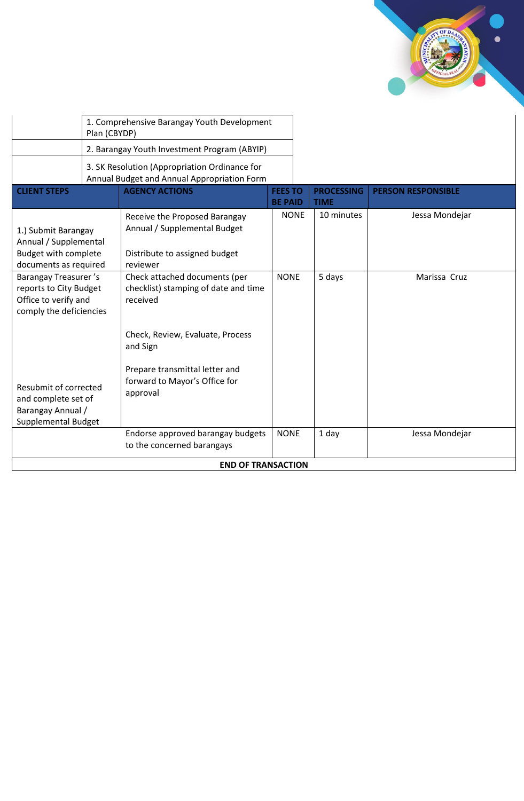

|                                                                                                          | 1. Comprehensive Barangay Youth Development<br>Plan (CBYDP) |                                                                                                            |                                  |  |                                  |                           |
|----------------------------------------------------------------------------------------------------------|-------------------------------------------------------------|------------------------------------------------------------------------------------------------------------|----------------------------------|--|----------------------------------|---------------------------|
|                                                                                                          | 2. Barangay Youth Investment Program (ABYIP)                |                                                                                                            |                                  |  |                                  |                           |
| 3. SK Resolution (Appropriation Ordinance for<br>Annual Budget and Annual Appropriation Form             |                                                             |                                                                                                            |                                  |  |                                  |                           |
| <b>CLIENT STEPS</b>                                                                                      |                                                             | <b>AGENCY ACTIONS</b>                                                                                      | <b>FEES TO</b><br><b>BE PAID</b> |  | <b>PROCESSING</b><br><b>TIME</b> | <b>PERSON RESPONSIBLE</b> |
| 1.) Submit Barangay<br>Annual / Supplemental<br><b>Budget with complete</b><br>documents as required     |                                                             | Receive the Proposed Barangay<br>Annual / Supplemental Budget<br>Distribute to assigned budget<br>reviewer | <b>NONE</b>                      |  | 10 minutes                       | Jessa Mondejar            |
| <b>Barangay Treasurer's</b><br>reports to City Budget<br>Office to verify and<br>comply the deficiencies |                                                             | Check attached documents (per<br>checklist) stamping of date and time<br>received                          | <b>NONE</b>                      |  | 5 days                           | Marissa Cruz              |
|                                                                                                          |                                                             | Check, Review, Evaluate, Process<br>and Sign                                                               |                                  |  |                                  |                           |
| Resubmit of corrected<br>and complete set of<br>Barangay Annual /<br><b>Supplemental Budget</b>          |                                                             | Prepare transmittal letter and<br>forward to Mayor's Office for<br>approval                                |                                  |  |                                  |                           |
|                                                                                                          |                                                             | Endorse approved barangay budgets<br>to the concerned barangays                                            | <b>NONE</b>                      |  | 1 day                            | Jessa Mondejar            |
| <b>END OF TRANSACTION</b>                                                                                |                                                             |                                                                                                            |                                  |  |                                  |                           |